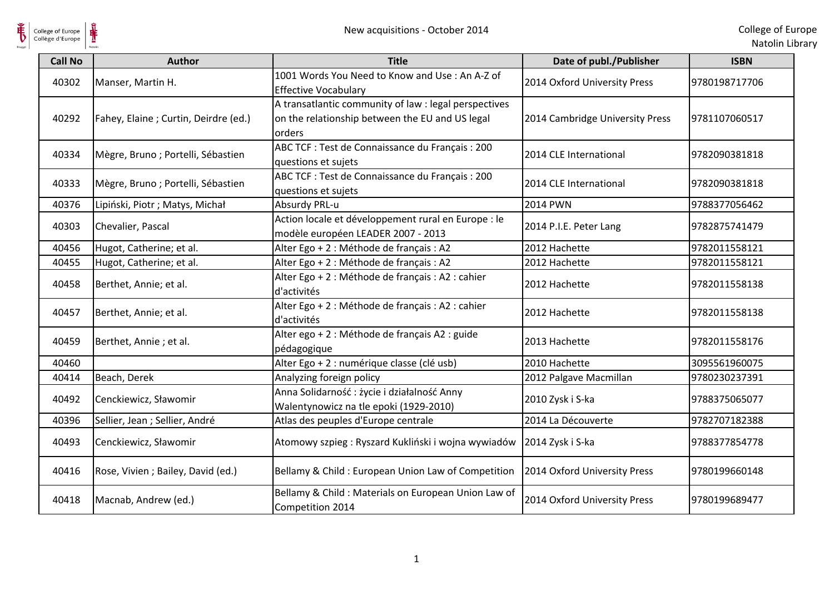

| <b>Call No</b> | <b>Author</b>                        | <b>Title</b>                                                                                                       | Date of publ./Publisher         | <b>ISBN</b>   |
|----------------|--------------------------------------|--------------------------------------------------------------------------------------------------------------------|---------------------------------|---------------|
| 40302          | Manser, Martin H.                    | 1001 Words You Need to Know and Use: An A-Z of<br><b>Effective Vocabulary</b>                                      | 2014 Oxford University Press    | 9780198717706 |
| 40292          | Fahey, Elaine; Curtin, Deirdre (ed.) | A transatlantic community of law : legal perspectives<br>on the relationship between the EU and US legal<br>orders | 2014 Cambridge University Press | 9781107060517 |
| 40334          | Mègre, Bruno; Portelli, Sébastien    | ABC TCF : Test de Connaissance du Français : 200<br>questions et sujets                                            | 2014 CLE International          | 9782090381818 |
| 40333          | Mègre, Bruno; Portelli, Sébastien    | ABC TCF : Test de Connaissance du Français : 200<br>questions et sujets                                            | 2014 CLE International          | 9782090381818 |
| 40376          | Lipiński, Piotr ; Matys, Michał      | Absurdy PRL-u                                                                                                      | <b>2014 PWN</b>                 | 9788377056462 |
| 40303          | Chevalier, Pascal                    | Action locale et développement rural en Europe : le<br>modèle européen LEADER 2007 - 2013                          | 2014 P.I.E. Peter Lang          | 9782875741479 |
| 40456          | Hugot, Catherine; et al.             | Alter Ego + 2 : Méthode de français : A2                                                                           | 2012 Hachette                   | 9782011558121 |
| 40455          | Hugot, Catherine; et al.             | Alter Ego + 2 : Méthode de français : A2                                                                           | 2012 Hachette                   | 9782011558121 |
| 40458          | Berthet, Annie; et al.               | Alter Ego + 2 : Méthode de français : A2 : cahier<br>d'activités                                                   | 2012 Hachette                   | 9782011558138 |
| 40457          | Berthet, Annie; et al.               | Alter Ego + 2 : Méthode de français : A2 : cahier<br>d'activités                                                   | 2012 Hachette                   | 9782011558138 |
| 40459          | Berthet, Annie ; et al.              | Alter ego + 2 : Méthode de français A2 : guide<br>pédagogique                                                      | 2013 Hachette                   | 9782011558176 |
| 40460          |                                      | Alter Ego + 2 : numérique classe (clé usb)                                                                         | 2010 Hachette                   | 3095561960075 |
| 40414          | Beach, Derek                         | Analyzing foreign policy                                                                                           | 2012 Palgave Macmillan          | 9780230237391 |
| 40492          | Cenckiewicz, Sławomir                | Anna Solidarność: życie i działalność Anny<br>Walentynowicz na tle epoki (1929-2010)                               | 2010 Zysk i S-ka                | 9788375065077 |
| 40396          | Sellier, Jean ; Sellier, André       | Atlas des peuples d'Europe centrale                                                                                | 2014 La Découverte              | 9782707182388 |
| 40493          | Cenckiewicz, Sławomir                | Atomowy szpieg: Ryszard Kukliński i wojna wywiadów                                                                 | 2014 Zysk i S-ka                | 9788377854778 |
| 40416          | Rose, Vivien; Bailey, David (ed.)    | Bellamy & Child: European Union Law of Competition                                                                 | 2014 Oxford University Press    | 9780199660148 |
| 40418          | Macnab, Andrew (ed.)                 | Bellamy & Child: Materials on European Union Law of<br>Competition 2014                                            | 2014 Oxford University Press    | 9780199689477 |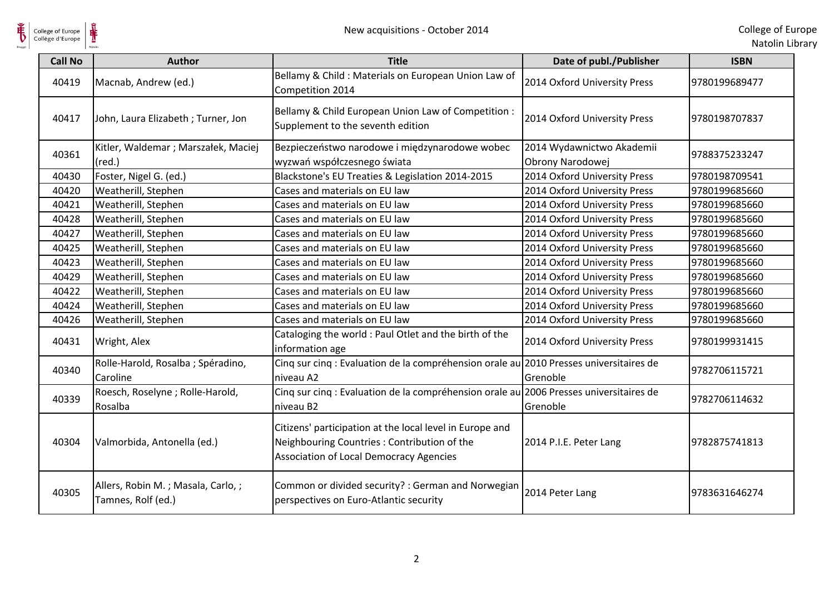

| <b>Call No</b> | <b>Author</b>                                           | <b>Title</b>                                                                                                                                              | Date of publ./Publisher                       | <b>ISBN</b>   |
|----------------|---------------------------------------------------------|-----------------------------------------------------------------------------------------------------------------------------------------------------------|-----------------------------------------------|---------------|
| 40419          | Macnab, Andrew (ed.)                                    | Bellamy & Child: Materials on European Union Law of<br>Competition 2014                                                                                   | 2014 Oxford University Press                  | 9780199689477 |
| 40417          | John, Laura Elizabeth; Turner, Jon                      | Bellamy & Child European Union Law of Competition :<br>Supplement to the seventh edition                                                                  | 2014 Oxford University Press                  | 9780198707837 |
| 40361          | Kitler, Waldemar ; Marszałek, Maciej<br>$(\text{red.})$ | Bezpieczeństwo narodowe i międzynarodowe wobec<br>wyzwań współczesnego świata                                                                             | 2014 Wydawnictwo Akademii<br>Obrony Narodowej | 9788375233247 |
| 40430          | Foster, Nigel G. (ed.)                                  | Blackstone's EU Treaties & Legislation 2014-2015                                                                                                          | 2014 Oxford University Press                  | 9780198709541 |
| 40420          | Weatherill, Stephen                                     | Cases and materials on EU law                                                                                                                             | 2014 Oxford University Press                  | 9780199685660 |
| 40421          | Weatherill, Stephen                                     | Cases and materials on EU law                                                                                                                             | 2014 Oxford University Press                  | 9780199685660 |
| 40428          | Weatherill, Stephen                                     | Cases and materials on EU law                                                                                                                             | 2014 Oxford University Press                  | 9780199685660 |
| 40427          | Weatherill, Stephen                                     | Cases and materials on EU law                                                                                                                             | 2014 Oxford University Press                  | 9780199685660 |
| 40425          | Weatherill, Stephen                                     | Cases and materials on EU law                                                                                                                             | 2014 Oxford University Press                  | 9780199685660 |
| 40423          | Weatherill, Stephen                                     | Cases and materials on EU law                                                                                                                             | 2014 Oxford University Press                  | 9780199685660 |
| 40429          | Weatherill, Stephen                                     | Cases and materials on EU law                                                                                                                             | 2014 Oxford University Press                  | 9780199685660 |
| 40422          | Weatherill, Stephen                                     | Cases and materials on EU law                                                                                                                             | 2014 Oxford University Press                  | 9780199685660 |
| 40424          | Weatherill, Stephen                                     | Cases and materials on EU law                                                                                                                             | 2014 Oxford University Press                  | 9780199685660 |
| 40426          | Weatherill, Stephen                                     | Cases and materials on EU law                                                                                                                             | 2014 Oxford University Press                  | 9780199685660 |
| 40431          | Wright, Alex                                            | Cataloging the world : Paul Otlet and the birth of the<br>information age                                                                                 | 2014 Oxford University Press                  | 9780199931415 |
| 40340          | Rolle-Harold, Rosalba ; Spéradino,<br>Caroline          | Cinq sur cinq : Evaluation de la compréhension orale au 2010 Presses universitaires de<br>niveau A2                                                       | Grenoble                                      | 9782706115721 |
| 40339          | Roesch, Roselyne; Rolle-Harold,<br>Rosalba              | Cinq sur cinq : Evaluation de la compréhension orale au 2006 Presses universitaires de<br>niveau B <sub>2</sub>                                           | Grenoble                                      | 9782706114632 |
| 40304          | Valmorbida, Antonella (ed.)                             | Citizens' participation at the local level in Europe and<br>Neighbouring Countries: Contribution of the<br><b>Association of Local Democracy Agencies</b> | 2014 P.I.E. Peter Lang                        | 9782875741813 |
| 40305          | Allers, Robin M.; Masala, Carlo,;<br>Tamnes, Rolf (ed.) | Common or divided security? : German and Norwegian<br>perspectives on Euro-Atlantic security                                                              | 2014 Peter Lang                               | 9783631646274 |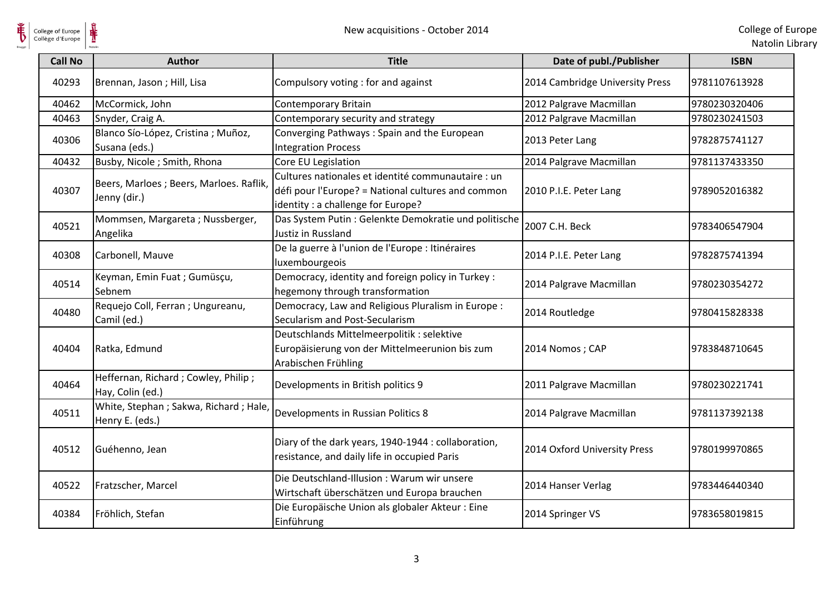

| College of Europe<br>Collège d'Europe | ⋕<br>New acquisitions - October 2014                       |                                                                                                                                                |                                 | College of Eur<br>Natolin Lib |
|---------------------------------------|------------------------------------------------------------|------------------------------------------------------------------------------------------------------------------------------------------------|---------------------------------|-------------------------------|
| <b>Call No</b>                        | <b>Author</b>                                              | <b>Title</b>                                                                                                                                   | Date of publ./Publisher         | <b>ISBN</b>                   |
| 40293                                 | Brennan, Jason; Hill, Lisa                                 | Compulsory voting: for and against                                                                                                             | 2014 Cambridge University Press | 9781107613928                 |
| 40462                                 | McCormick, John                                            | Contemporary Britain                                                                                                                           | 2012 Palgrave Macmillan         | 9780230320406                 |
| 40463                                 | Snyder, Craig A.                                           | Contemporary security and strategy                                                                                                             | 2012 Palgrave Macmillan         | 9780230241503                 |
| 40306                                 | Blanco Sío-López, Cristina ; Muñoz,<br>Susana (eds.)       | Converging Pathways: Spain and the European<br><b>Integration Process</b>                                                                      | 2013 Peter Lang                 | 9782875741127                 |
| 40432                                 | Busby, Nicole; Smith, Rhona                                | Core EU Legislation                                                                                                                            | 2014 Palgrave Macmillan         | 9781137433350                 |
| 40307                                 | Beers, Marloes ; Beers, Marloes. Raflik,<br>Jenny (dir.)   | Cultures nationales et identité communautaire : un<br>défi pour l'Europe? = National cultures and common<br>identity : a challenge for Europe? | 2010 P.I.E. Peter Lang          | 9789052016382                 |
| 40521                                 | Mommsen, Margareta; Nussberger,<br>Angelika                | Das System Putin : Gelenkte Demokratie und politische<br>Justiz in Russland                                                                    | 2007 C.H. Beck                  | 9783406547904                 |
| 40308                                 | Carbonell, Mauve                                           | De la guerre à l'union de l'Europe : Itinéraires<br>luxembourgeois                                                                             | 2014 P.I.E. Peter Lang          | 9782875741394                 |
| 40514                                 | Keyman, Emin Fuat ; Gumüsçu,<br>Sebnem                     | Democracy, identity and foreign policy in Turkey :<br>hegemony through transformation                                                          | 2014 Palgrave Macmillan         | 9780230354272                 |
| 40480                                 | Requejo Coll, Ferran ; Ungureanu,<br>Camil (ed.)           | Democracy, Law and Religious Pluralism in Europe :<br>Secularism and Post-Secularism                                                           | 2014 Routledge                  | 9780415828338                 |
| 40404                                 | Ratka, Edmund                                              | Deutschlands Mittelmeerpolitik : selektive<br>Europäisierung von der Mittelmeerunion bis zum<br>Arabischen Frühling                            | 2014 Nomos; CAP                 | 9783848710645                 |
| 40464                                 | Heffernan, Richard; Cowley, Philip;<br>Hay, Colin (ed.)    | Developments in British politics 9                                                                                                             | 2011 Palgrave Macmillan         | 9780230221741                 |
| 40511                                 | White, Stephan ; Sakwa, Richard ; Hale,<br>Henry E. (eds.) | Developments in Russian Politics 8                                                                                                             | 2014 Palgrave Macmillan         | 9781137392138                 |
| 40512                                 | Guéhenno, Jean                                             | Diary of the dark years, 1940-1944 : collaboration,<br>resistance, and daily life in occupied Paris                                            | 2014 Oxford University Press    | 9780199970865                 |
| 40522                                 | Fratzscher, Marcel                                         | Die Deutschland-Illusion : Warum wir unsere<br>Wirtschaft überschätzen und Europa brauchen                                                     | 2014 Hanser Verlag              | 9783446440340                 |
| 40384                                 | Fröhlich, Stefan                                           | Die Europäische Union als globaler Akteur: Eine<br>Einführung                                                                                  | 2014 Springer VS                | 9783658019815                 |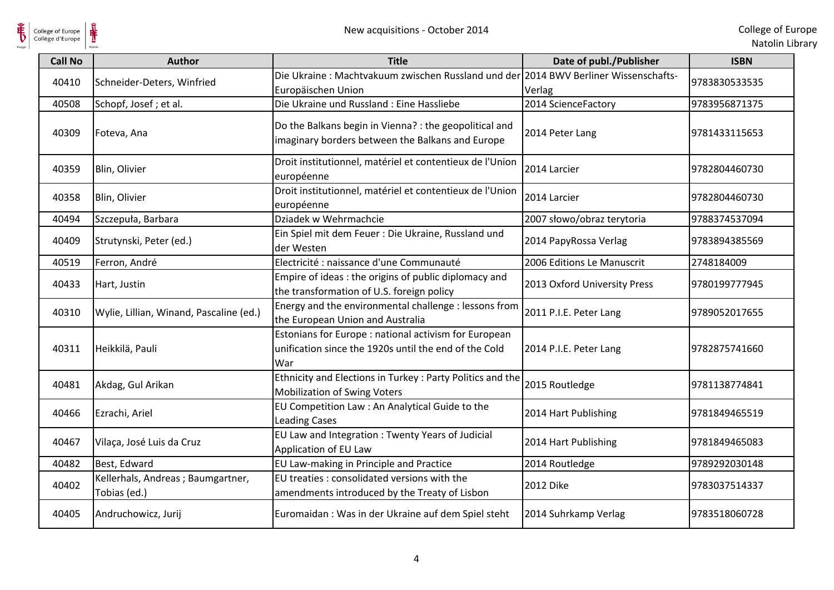

| College of Europe<br>Collège d'Europe | ⋕                                                 | New acquisitions - October 2014                                                                                       |                              | College of Eur<br>Natolin Lib |
|---------------------------------------|---------------------------------------------------|-----------------------------------------------------------------------------------------------------------------------|------------------------------|-------------------------------|
| <b>Call No</b>                        | <b>Author</b>                                     | <b>Title</b>                                                                                                          | Date of publ./Publisher      | <b>ISBN</b>                   |
| 40410                                 | Schneider-Deters, Winfried                        | Die Ukraine: Machtvakuum zwischen Russland und der 2014 BWV Berliner Wissenschafts-<br>Europäischen Union             | Verlag                       | 9783830533535                 |
| 40508                                 | Schopf, Josef; et al.                             | Die Ukraine und Russland : Eine Hassliebe                                                                             | 2014 ScienceFactory          | 9783956871375                 |
| 40309                                 | Foteva, Ana                                       | Do the Balkans begin in Vienna? : the geopolitical and<br>imaginary borders between the Balkans and Europe            | 2014 Peter Lang              | 9781433115653                 |
| 40359                                 | Blin, Olivier                                     | Droit institutionnel, matériel et contentieux de l'Union<br>européenne                                                | 2014 Larcier                 | 9782804460730                 |
| 40358                                 | Blin, Olivier                                     | Droit institutionnel, matériel et contentieux de l'Union<br>européenne                                                | 2014 Larcier                 | 9782804460730                 |
| 40494                                 | Szczepuła, Barbara                                | Dziadek w Wehrmachcie                                                                                                 | 2007 słowo/obraz terytoria   | 9788374537094                 |
| 40409                                 | Strutynski, Peter (ed.)                           | Ein Spiel mit dem Feuer : Die Ukraine, Russland und<br>der Westen                                                     | 2014 PapyRossa Verlag        | 9783894385569                 |
| 40519                                 | Ferron, André                                     | Electricité : naissance d'une Communauté                                                                              | 2006 Editions Le Manuscrit   | 2748184009                    |
| 40433                                 | Hart, Justin                                      | Empire of ideas: the origins of public diplomacy and<br>the transformation of U.S. foreign policy                     | 2013 Oxford University Press | 9780199777945                 |
| 40310                                 | Wylie, Lillian, Winand, Pascaline (ed.)           | Energy and the environmental challenge : lessons from<br>the European Union and Australia                             | 2011 P.I.E. Peter Lang       | 9789052017655                 |
| 40311                                 | Heikkilä, Pauli                                   | Estonians for Europe : national activism for European<br>unification since the 1920s until the end of the Cold<br>War | 2014 P.I.E. Peter Lang       | 9782875741660                 |
| 40481                                 | Akdag, Gul Arikan                                 | Ethnicity and Elections in Turkey: Party Politics and the<br><b>Mobilization of Swing Voters</b>                      | 2015 Routledge               | 9781138774841                 |
| 40466                                 | Ezrachi, Ariel                                    | EU Competition Law: An Analytical Guide to the<br><b>Leading Cases</b>                                                | 2014 Hart Publishing         | 9781849465519                 |
| 40467                                 | Vilaça, José Luis da Cruz                         | EU Law and Integration : Twenty Years of Judicial<br>Application of EU Law                                            | 2014 Hart Publishing         | 9781849465083                 |
| 40482                                 | Best, Edward                                      | EU Law-making in Principle and Practice                                                                               | 2014 Routledge               | 9789292030148                 |
| 40402                                 | Kellerhals, Andreas; Baumgartner,<br>Tobias (ed.) | EU treaties : consolidated versions with the<br>amendments introduced by the Treaty of Lisbon                         | 2012 Dike                    | 9783037514337                 |
| 40405                                 | Andruchowicz, Jurij                               | Euromaidan : Was in der Ukraine auf dem Spiel steht                                                                   | 2014 Suhrkamp Verlag         | 9783518060728                 |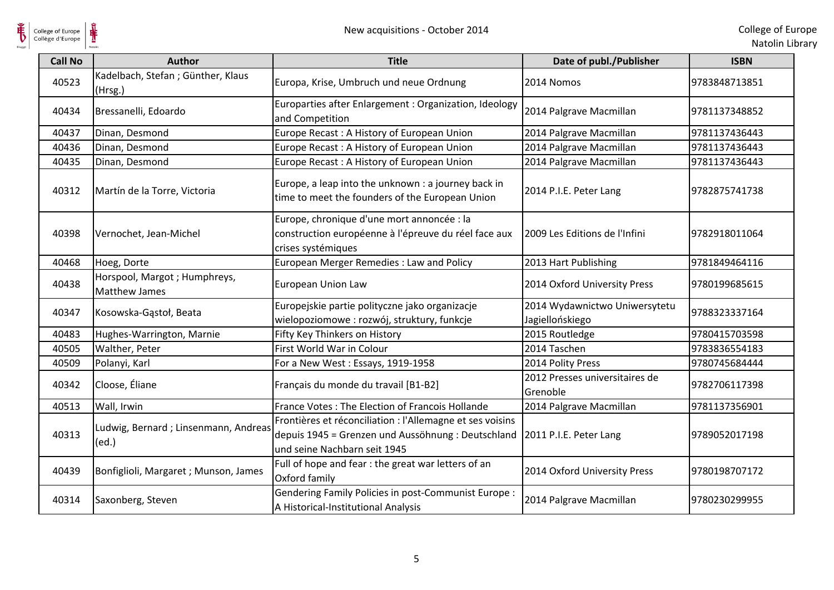

 $\frac{1}{\sqrt{2}}$ 

| <b>Call No</b> | <b>Author</b>                                        | <b>Title</b>                                                                                                                                    | Date of publ./Publisher                          | <b>ISBN</b>   |
|----------------|------------------------------------------------------|-------------------------------------------------------------------------------------------------------------------------------------------------|--------------------------------------------------|---------------|
| 40523          | Kadelbach, Stefan; Günther, Klaus<br>(Hrsg.)         | Europa, Krise, Umbruch und neue Ordnung                                                                                                         | 2014 Nomos                                       | 9783848713851 |
| 40434          | Bressanelli, Edoardo                                 | Europarties after Enlargement : Organization, Ideology<br>and Competition                                                                       | 2014 Palgrave Macmillan                          | 9781137348852 |
| 40437          | Dinan, Desmond                                       | Europe Recast: A History of European Union                                                                                                      | 2014 Palgrave Macmillan                          | 9781137436443 |
| 40436          | Dinan, Desmond                                       | Europe Recast: A History of European Union                                                                                                      | 2014 Palgrave Macmillan                          | 9781137436443 |
| 40435          | Dinan, Desmond                                       | Europe Recast: A History of European Union                                                                                                      | 2014 Palgrave Macmillan                          | 9781137436443 |
| 40312          | Martín de la Torre, Victoria                         | Europe, a leap into the unknown : a journey back in<br>time to meet the founders of the European Union                                          | 2014 P.I.E. Peter Lang                           | 9782875741738 |
| 40398          | Vernochet, Jean-Michel                               | Europe, chronique d'une mort annoncée : la<br>construction européenne à l'épreuve du réel face aux<br>crises systémiques                        | 2009 Les Editions de l'Infini                    | 9782918011064 |
| 40468          | Hoeg, Dorte                                          | European Merger Remedies : Law and Policy                                                                                                       | 2013 Hart Publishing                             | 9781849464116 |
| 40438          | Horspool, Margot; Humphreys,<br><b>Matthew James</b> | <b>European Union Law</b>                                                                                                                       | 2014 Oxford University Press                     | 9780199685615 |
| 40347          | Kosowska-Gąstoł, Beata                               | Europejskie partie polityczne jako organizacje<br>wielopoziomowe : rozwój, struktury, funkcje                                                   | 2014 Wydawnictwo Uniwersytetu<br>Jagiellońskiego | 9788323337164 |
| 40483          | Hughes-Warrington, Marnie                            | Fifty Key Thinkers on History                                                                                                                   | 2015 Routledge                                   | 9780415703598 |
| 40505          | Walther, Peter                                       | First World War in Colour                                                                                                                       | 2014 Taschen                                     | 9783836554183 |
| 40509          | Polanyi, Karl                                        | For a New West: Essays, 1919-1958                                                                                                               | 2014 Polity Press                                | 9780745684444 |
| 40342          | Cloose, Éliane                                       | Français du monde du travail [B1-B2]                                                                                                            | 2012 Presses universitaires de<br>Grenoble       | 9782706117398 |
| 40513          | Wall, Irwin                                          | France Votes: The Election of Francois Hollande                                                                                                 | 2014 Palgrave Macmillan                          | 9781137356901 |
| 40313          | Ludwig, Bernard; Linsenmann, Andreas<br>(ed.)        | Frontières et réconciliation : l'Allemagne et ses voisins<br>depuis 1945 = Grenzen und Aussöhnung : Deutschland<br>und seine Nachbarn seit 1945 | 2011 P.I.E. Peter Lang                           | 9789052017198 |
| 40439          | Bonfiglioli, Margaret ; Munson, James                | Full of hope and fear : the great war letters of an<br>Oxford family                                                                            | 2014 Oxford University Press                     | 9780198707172 |
| 40314          | Saxonberg, Steven                                    | Gendering Family Policies in post-Communist Europe :<br>A Historical-Institutional Analysis                                                     | 2014 Palgrave Macmillan                          | 9780230299955 |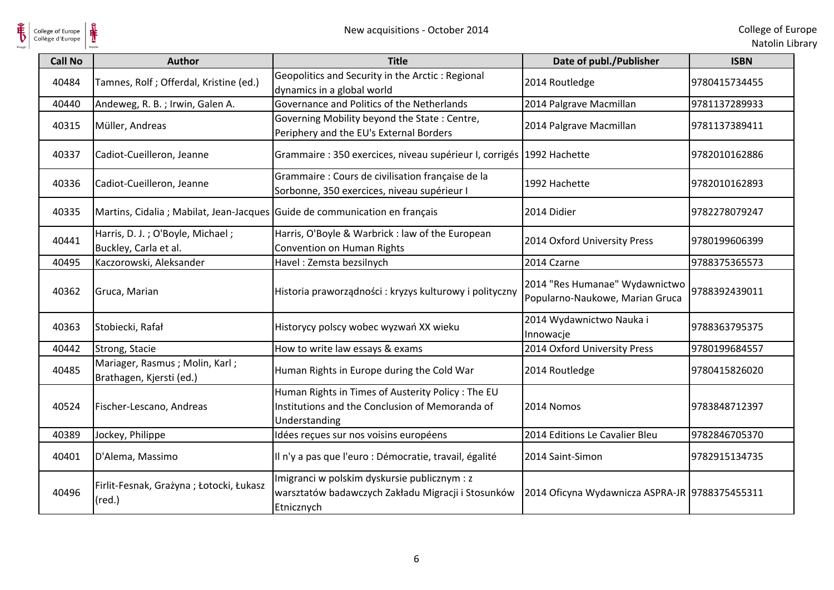

| College of Europe<br>Collège d'Europe | ⋕                                                                           | New acquisitions - October 2014                                                                                       |                                                                   | College of Eur<br>Natolin Lib |
|---------------------------------------|-----------------------------------------------------------------------------|-----------------------------------------------------------------------------------------------------------------------|-------------------------------------------------------------------|-------------------------------|
| <b>Call No</b>                        | <b>Author</b>                                                               | <b>Title</b>                                                                                                          | Date of publ./Publisher                                           | <b>ISBN</b>                   |
| 40484                                 | Tamnes, Rolf ; Offerdal, Kristine (ed.)                                     | Geopolitics and Security in the Arctic: Regional<br>dynamics in a global world                                        | 2014 Routledge                                                    | 9780415734455                 |
| 40440                                 | Andeweg, R. B.; Irwin, Galen A.                                             | Governance and Politics of the Netherlands                                                                            | 2014 Palgrave Macmillan                                           | 9781137289933                 |
| 40315                                 | Müller, Andreas                                                             | Governing Mobility beyond the State: Centre,<br>Periphery and the EU's External Borders                               | 2014 Palgrave Macmillan                                           | 9781137389411                 |
| 40337                                 | Cadiot-Cueilleron, Jeanne                                                   | Grammaire : 350 exercices, niveau supérieur I, corrigés 1992 Hachette                                                 |                                                                   | 9782010162886                 |
| 40336                                 | Cadiot-Cueilleron, Jeanne                                                   | Grammaire : Cours de civilisation française de la<br>Sorbonne, 350 exercices, niveau supérieur I                      | 1992 Hachette                                                     | 9782010162893                 |
| 40335                                 | Martins, Cidalia ; Mabilat, Jean-Jacques Guide de communication en français |                                                                                                                       | 2014 Didier                                                       | 9782278079247                 |
| 40441                                 | Harris, D. J.; O'Boyle, Michael;<br>Buckley, Carla et al.                   | Harris, O'Boyle & Warbrick : law of the European<br>Convention on Human Rights                                        | 2014 Oxford University Press                                      | 9780199606399                 |
| 40495                                 | Kaczorowski, Aleksander                                                     | Havel: Zemsta bezsilnych                                                                                              | 2014 Czarne                                                       | 9788375365573                 |
| 40362                                 | Gruca, Marian                                                               | Historia praworządności: kryzys kulturowy i polityczny                                                                | 2014 "Res Humanae" Wydawnictwo<br>Popularno-Naukowe, Marian Gruca | 9788392439011                 |
| 40363                                 | Stobiecki, Rafał                                                            | Historycy polscy wobec wyzwań XX wieku                                                                                | 2014 Wydawnictwo Nauka i<br>Innowacje                             | 9788363795375                 |
| 40442                                 | Strong, Stacie                                                              | How to write law essays & exams                                                                                       | 2014 Oxford University Press                                      | 9780199684557                 |
| 40485                                 | Mariager, Rasmus; Molin, Karl;<br>Brathagen, Kjersti (ed.)                  | Human Rights in Europe during the Cold War                                                                            | 2014 Routledge                                                    | 9780415826020                 |
| 40524                                 | Fischer-Lescano, Andreas                                                    | Human Rights in Times of Austerity Policy: The EU<br>Institutions and the Conclusion of Memoranda of<br>Understanding | 2014 Nomos                                                        | 9783848712397                 |
| 40389                                 | Jockey, Philippe                                                            | Idées reçues sur nos voisins européens                                                                                | 2014 Editions Le Cavalier Bleu                                    | 9782846705370                 |
| 40401                                 | D'Alema, Massimo                                                            | Il n'y a pas que l'euro : Démocratie, travail, égalité                                                                | 2014 Saint-Simon                                                  | 9782915134735                 |
| 40496                                 | Firlit-Fesnak, Grażyna; Łotocki, Łukasz<br>$(\text{red.})$                  | Imigranci w polskim dyskursie publicznym : z<br>warsztatów badawczych Zakładu Migracji i Stosunków<br>Etnicznych      | 2014 Oficyna Wydawnicza ASPRA-JR 9788375455311                    |                               |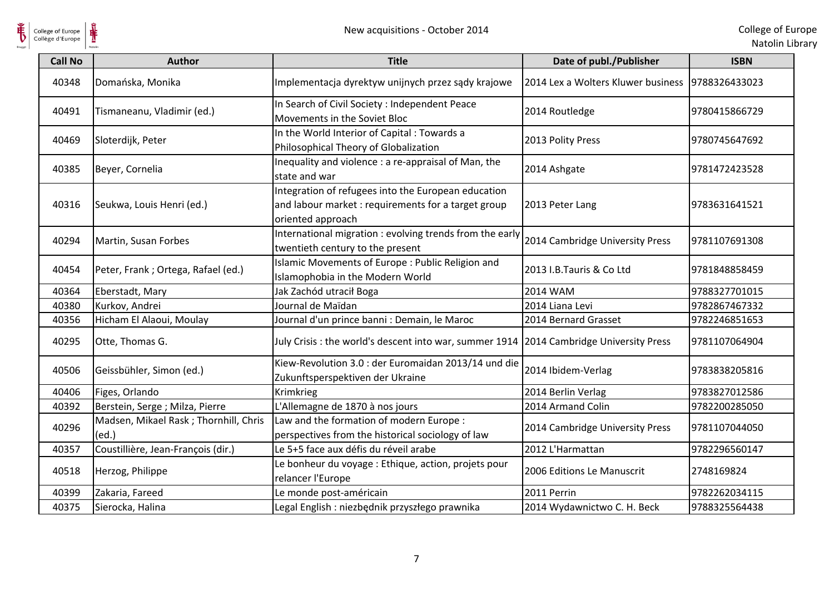

 $\frac{1}{\sqrt{2}}$ 

| <b>Call No</b> | <b>Author</b>                                   | <b>Title</b>                                                                                                                    | Date of publ./Publisher                            | <b>ISBN</b>   |
|----------------|-------------------------------------------------|---------------------------------------------------------------------------------------------------------------------------------|----------------------------------------------------|---------------|
| 40348          | Domańska, Monika                                | Implementacja dyrektyw unijnych przez sądy krajowe                                                                              | 2014 Lex a Wolters Kluwer business   9788326433023 |               |
| 40491          | Tismaneanu, Vladimir (ed.)                      | In Search of Civil Society : Independent Peace<br>Movements in the Soviet Bloc                                                  | 2014 Routledge                                     | 9780415866729 |
| 40469          | Sloterdijk, Peter                               | In the World Interior of Capital: Towards a<br>Philosophical Theory of Globalization                                            | 2013 Polity Press                                  | 9780745647692 |
| 40385          | Beyer, Cornelia                                 | Inequality and violence : a re-appraisal of Man, the<br>state and war                                                           | 2014 Ashgate                                       | 9781472423528 |
| 40316          | Seukwa, Louis Henri (ed.)                       | Integration of refugees into the European education<br>and labour market : requirements for a target group<br>oriented approach | 2013 Peter Lang                                    | 9783631641521 |
| 40294          | Martin, Susan Forbes                            | International migration : evolving trends from the early<br>twentieth century to the present                                    | 2014 Cambridge University Press                    | 9781107691308 |
| 40454          | Peter, Frank; Ortega, Rafael (ed.)              | Islamic Movements of Europe: Public Religion and<br>Islamophobia in the Modern World                                            | 2013 I.B.Tauris & Co Ltd                           | 9781848858459 |
| 40364          | Eberstadt, Mary                                 | Jak Zachód utracił Boga                                                                                                         | <b>2014 WAM</b>                                    | 9788327701015 |
| 40380          | Kurkov, Andrei                                  | Journal de Maïdan                                                                                                               | 2014 Liana Levi                                    | 9782867467332 |
| 40356          | Hicham El Alaoui, Moulay                        | Journal d'un prince banni : Demain, le Maroc                                                                                    | 2014 Bernard Grasset                               | 9782246851653 |
| 40295          | Otte, Thomas G.                                 | July Crisis: the world's descent into war, summer 1914   2014 Cambridge University Press                                        |                                                    | 9781107064904 |
| 40506          | Geissbühler, Simon (ed.)                        | Kiew-Revolution 3.0 : der Euromaidan 2013/14 und die<br>Zukunftsperspektiven der Ukraine                                        | 2014 Ibidem-Verlag                                 | 9783838205816 |
| 40406          | Figes, Orlando                                  | Krimkrieg                                                                                                                       | 2014 Berlin Verlag                                 | 9783827012586 |
| 40392          | Berstein, Serge ; Milza, Pierre                 | L'Allemagne de 1870 à nos jours                                                                                                 | 2014 Armand Colin                                  | 9782200285050 |
| 40296          | Madsen, Mikael Rask ; Thornhill, Chris<br>(ed.) | Law and the formation of modern Europe:<br>perspectives from the historical sociology of law                                    | 2014 Cambridge University Press                    | 9781107044050 |
| 40357          | Coustillière, Jean-François (dir.)              | Le 5+5 face aux défis du réveil arabe                                                                                           | 2012 L'Harmattan                                   | 9782296560147 |
| 40518          | Herzog, Philippe                                | Le bonheur du voyage : Ethique, action, projets pour<br>relancer l'Europe                                                       | 2006 Editions Le Manuscrit                         | 2748169824    |
| 40399          | Zakaria, Fareed                                 | Le monde post-américain                                                                                                         | 2011 Perrin                                        | 9782262034115 |
| 40375          | Sierocka, Halina                                | Legal English : niezbędnik przyszłego prawnika                                                                                  | 2014 Wydawnictwo C. H. Beck                        | 9788325564438 |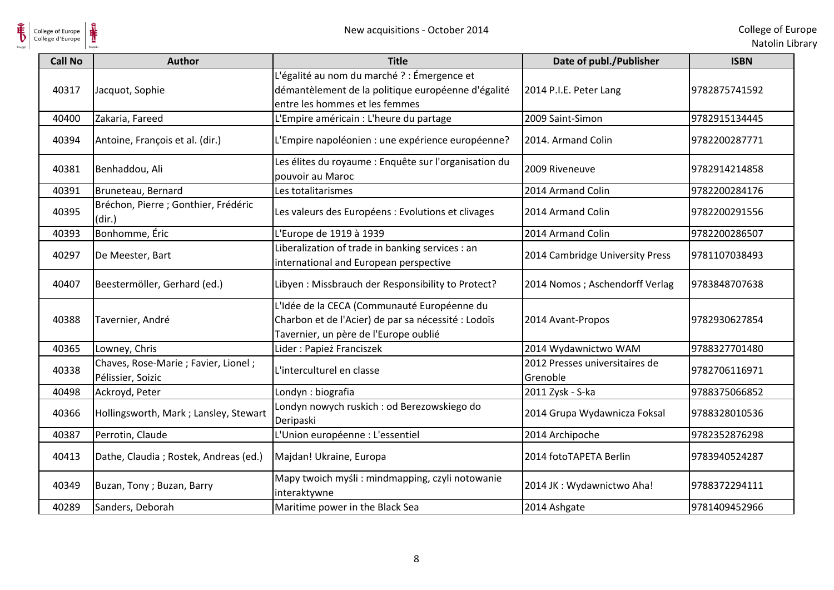

| College of Europe<br>Collège d'Europe | ⋕                                                          | New acquisitions - October 2014                                                                                                             |                                            | College of Eur<br>Natolin Lib |
|---------------------------------------|------------------------------------------------------------|---------------------------------------------------------------------------------------------------------------------------------------------|--------------------------------------------|-------------------------------|
| <b>Call No</b>                        | <b>Author</b>                                              | <b>Title</b>                                                                                                                                | Date of publ./Publisher                    | <b>ISBN</b>                   |
| 40317                                 | Jacquot, Sophie                                            | L'égalité au nom du marché ? : Émergence et<br>démantèlement de la politique européenne d'égalité<br>entre les hommes et les femmes         | 2014 P.I.E. Peter Lang                     | 9782875741592                 |
| 40400                                 | Zakaria, Fareed                                            | L'Empire américain : L'heure du partage                                                                                                     | 2009 Saint-Simon                           | 9782915134445                 |
| 40394                                 | Antoine, François et al. (dir.)                            | L'Empire napoléonien : une expérience européenne?                                                                                           | 2014. Armand Colin                         | 9782200287771                 |
| 40381                                 | Benhaddou, Ali                                             | Les élites du royaume : Enquête sur l'organisation du<br>pouvoir au Maroc                                                                   | 2009 Riveneuve                             | 9782914214858                 |
| 40391                                 | Bruneteau, Bernard                                         | Les totalitarismes                                                                                                                          | 2014 Armand Colin                          | 9782200284176                 |
| 40395                                 | Bréchon, Pierre ; Gonthier, Frédéric<br>(dir.)             | Les valeurs des Européens : Evolutions et clivages                                                                                          | 2014 Armand Colin                          | 9782200291556                 |
| 40393                                 | Bonhomme, Éric                                             | L'Europe de 1919 à 1939                                                                                                                     | 2014 Armand Colin                          | 9782200286507                 |
| 40297                                 | De Meester, Bart                                           | Liberalization of trade in banking services : an<br>international and European perspective                                                  | 2014 Cambridge University Press            | 9781107038493                 |
| 40407                                 | Beestermöller, Gerhard (ed.)                               | Libyen: Missbrauch der Responsibility to Protect?                                                                                           | 2014 Nomos; Aschendorff Verlag             | 9783848707638                 |
| 40388                                 | Tavernier, André                                           | L'Idée de la CECA (Communauté Européenne du<br>Charbon et de l'Acier) de par sa nécessité : Lodoïs<br>Tavernier, un père de l'Europe oublié | 2014 Avant-Propos                          | 9782930627854                 |
| 40365                                 | Lowney, Chris                                              | Lider: Papież Franciszek                                                                                                                    | 2014 Wydawnictwo WAM                       | 9788327701480                 |
| 40338                                 | Chaves, Rose-Marie ; Favier, Lionel ;<br>Pélissier, Soizic | L'interculturel en classe                                                                                                                   | 2012 Presses universitaires de<br>Grenoble | 9782706116971                 |
| 40498                                 | Ackroyd, Peter                                             | Londyn: biografia                                                                                                                           | 2011 Zysk - S-ka                           | 9788375066852                 |
| 40366                                 | Hollingsworth, Mark; Lansley, Stewart                      | Londyn nowych ruskich : od Berezowskiego do<br>Deripaski                                                                                    | 2014 Grupa Wydawnicza Foksal               | 9788328010536                 |
| 40387                                 | Perrotin, Claude                                           | L'Union européenne : L'essentiel                                                                                                            | 2014 Archipoche                            | 9782352876298                 |
| 40413                                 | Dathe, Claudia; Rostek, Andreas (ed.)                      | Majdan! Ukraine, Europa                                                                                                                     | 2014 fotoTAPETA Berlin                     | 9783940524287                 |
| 40349                                 | Buzan, Tony; Buzan, Barry                                  | Mapy twoich myśli : mindmapping, czyli notowanie<br>interaktywne                                                                            | 2014 JK : Wydawnictwo Aha!                 | 9788372294111                 |
| 40289                                 | Sanders, Deborah                                           | Maritime power in the Black Sea                                                                                                             | 2014 Ashgate                               | 9781409452966                 |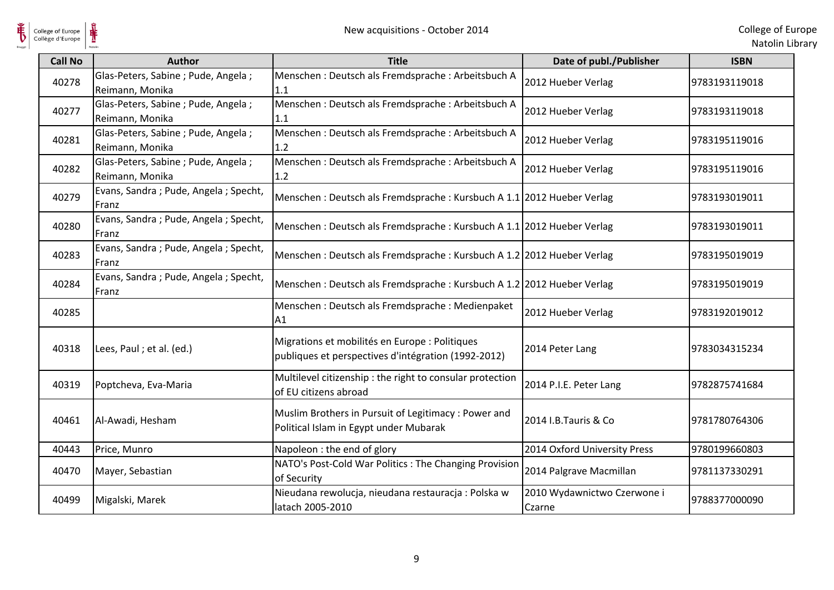

| College of Europe<br>Collège d'Europe | ⋕                                                       | New acquisitions - October 2014                                                                       |                                       | College of Eur<br>Natolin Lib |
|---------------------------------------|---------------------------------------------------------|-------------------------------------------------------------------------------------------------------|---------------------------------------|-------------------------------|
| <b>Call No</b>                        | <b>Author</b>                                           | <b>Title</b>                                                                                          | Date of publ./Publisher               | <b>ISBN</b>                   |
| 40278                                 | Glas-Peters, Sabine ; Pude, Angela ;<br>Reimann, Monika | Menschen: Deutsch als Fremdsprache: Arbeitsbuch A<br>1.1                                              | 2012 Hueber Verlag                    | 9783193119018                 |
| 40277                                 | Glas-Peters, Sabine ; Pude, Angela ;<br>Reimann, Monika | Menschen: Deutsch als Fremdsprache: Arbeitsbuch A<br>1.1                                              | 2012 Hueber Verlag                    | 9783193119018                 |
| 40281                                 | Glas-Peters, Sabine; Pude, Angela;<br>Reimann, Monika   | Menschen: Deutsch als Fremdsprache: Arbeitsbuch A<br>1.2                                              | 2012 Hueber Verlag                    | 9783195119016                 |
| 40282                                 | Glas-Peters, Sabine ; Pude, Angela ;<br>Reimann, Monika | Menschen: Deutsch als Fremdsprache: Arbeitsbuch A<br>1.2                                              | 2012 Hueber Verlag                    | 9783195119016                 |
| 40279                                 | Evans, Sandra; Pude, Angela; Specht,<br>Franz           | Menschen: Deutsch als Fremdsprache: Kursbuch A 1.1 2012 Hueber Verlag                                 |                                       | 9783193019011                 |
| 40280                                 | Evans, Sandra; Pude, Angela; Specht,<br>Franz           | Menschen: Deutsch als Fremdsprache: Kursbuch A 1.1 2012 Hueber Verlag                                 |                                       | 9783193019011                 |
| 40283                                 | Evans, Sandra; Pude, Angela; Specht,<br>Franz           | Menschen: Deutsch als Fremdsprache: Kursbuch A 1.2 2012 Hueber Verlag                                 |                                       | 9783195019019                 |
| 40284                                 | Evans, Sandra; Pude, Angela; Specht,<br>Franz           | Menschen: Deutsch als Fremdsprache: Kursbuch A 1.2 2012 Hueber Verlag                                 |                                       | 9783195019019                 |
| 40285                                 |                                                         | Menschen: Deutsch als Fremdsprache: Medienpaket<br>Α1                                                 | 2012 Hueber Verlag                    | 9783192019012                 |
| 40318                                 | Lees, Paul ; et al. (ed.)                               | Migrations et mobilités en Europe : Politiques<br>publiques et perspectives d'intégration (1992-2012) | 2014 Peter Lang                       | 9783034315234                 |
| 40319                                 | Poptcheva, Eva-Maria                                    | Multilevel citizenship : the right to consular protection<br>of EU citizens abroad                    | 2014 P.I.E. Peter Lang                | 9782875741684                 |
| 40461                                 | Al-Awadi, Hesham                                        | Muslim Brothers in Pursuit of Legitimacy : Power and<br>Political Islam in Egypt under Mubarak        | 2014 I.B. Tauris & Co                 | 9781780764306                 |
| 40443                                 | Price, Munro                                            | Napoleon : the end of glory                                                                           | 2014 Oxford University Press          | 9780199660803                 |
| 40470                                 | Mayer, Sebastian                                        | NATO's Post-Cold War Politics : The Changing Provision<br>of Security                                 | 2014 Palgrave Macmillan               | 9781137330291                 |
| 40499                                 | Migalski, Marek                                         | Nieudana rewolucja, nieudana restauracja: Polska w<br>latach 2005-2010                                | 2010 Wydawnictwo Czerwone i<br>Czarne | 9788377000090                 |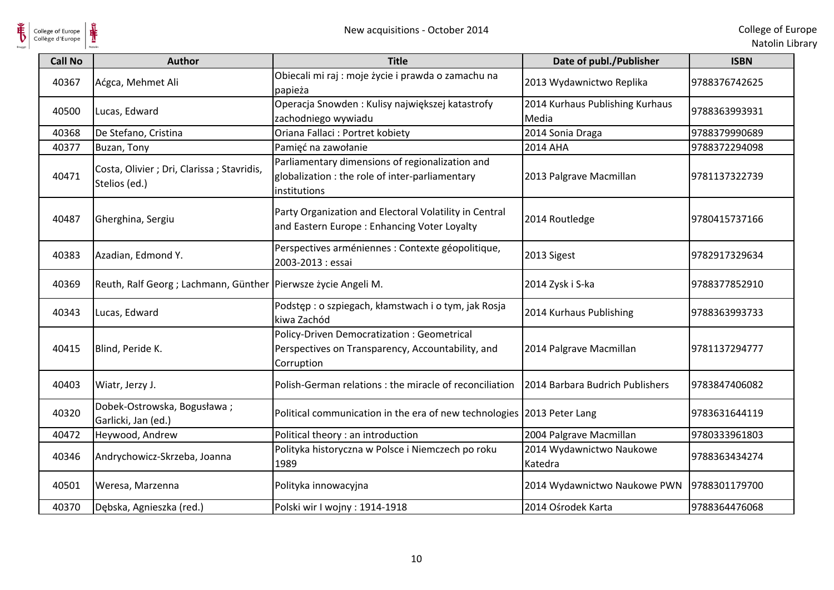

| <b>Call No</b> | <b>Author</b>                                                   | <b>Title</b>                                                                                                         | Date of publ./Publisher                  | <b>ISBN</b>   |
|----------------|-----------------------------------------------------------------|----------------------------------------------------------------------------------------------------------------------|------------------------------------------|---------------|
| 40367          | Aćgca, Mehmet Ali                                               | Obiecali mi raj : moje życie i prawda o zamachu na<br>papieża                                                        | 2013 Wydawnictwo Replika                 | 9788376742625 |
| 40500          | Lucas, Edward                                                   | Operacja Snowden: Kulisy największej katastrofy<br>zachodniego wywiadu                                               | 2014 Kurhaus Publishing Kurhaus<br>Media | 9788363993931 |
| 40368          | De Stefano, Cristina                                            | Oriana Fallaci : Portret kobiety                                                                                     | 2014 Sonia Draga                         | 9788379990689 |
| 40377          | Buzan, Tony                                                     | Pamięć na zawołanie                                                                                                  | 2014 AHA                                 | 9788372294098 |
| 40471          | Costa, Olivier ; Dri, Clarissa ; Stavridis,<br>Stelios (ed.)    | Parliamentary dimensions of regionalization and<br>globalization : the role of inter-parliamentary<br>institutions   | 2013 Palgrave Macmillan                  | 9781137322739 |
| 40487          | Gherghina, Sergiu                                               | Party Organization and Electoral Volatility in Central<br>and Eastern Europe: Enhancing Voter Loyalty                | 2014 Routledge                           | 9780415737166 |
| 40383          | Azadian, Edmond Y.                                              | Perspectives arméniennes : Contexte géopolitique,<br>2003-2013 : essai                                               | 2013 Sigest                              | 9782917329634 |
| 40369          | Reuth, Ralf Georg; Lachmann, Günther   Pierwsze życie Angeli M. |                                                                                                                      | 2014 Zysk i S-ka                         | 9788377852910 |
| 40343          | Lucas, Edward                                                   | Podstęp : o szpiegach, kłamstwach i o tym, jak Rosja<br>kiwa Zachód                                                  | 2014 Kurhaus Publishing                  | 9788363993733 |
| 40415          | Blind, Peride K.                                                | <b>Policy-Driven Democratization: Geometrical</b><br>Perspectives on Transparency, Accountability, and<br>Corruption | 2014 Palgrave Macmillan                  | 9781137294777 |
| 40403          | Wiatr, Jerzy J.                                                 | Polish-German relations : the miracle of reconciliation                                                              | 2014 Barbara Budrich Publishers          | 9783847406082 |
| 40320          | Dobek-Ostrowska, Bogusława;<br>Garlicki, Jan (ed.)              | Political communication in the era of new technologies 2013 Peter Lang                                               |                                          | 9783631644119 |
| 40472          | Heywood, Andrew                                                 | Political theory : an introduction                                                                                   | 2004 Palgrave Macmillan                  | 9780333961803 |
| 40346          | Andrychowicz-Skrzeba, Joanna                                    | Polityka historyczna w Polsce i Niemczech po roku<br>1989                                                            | 2014 Wydawnictwo Naukowe<br>Katedra      | 9788363434274 |
| 40501          | Weresa, Marzenna                                                | Polityka innowacyjna                                                                                                 | 2014 Wydawnictwo Naukowe PWN             | 9788301179700 |
| 40370          | Dębska, Agnieszka (red.)                                        | Polski wir I wojny: 1914-1918                                                                                        | 2014 Ośrodek Karta                       | 9788364476068 |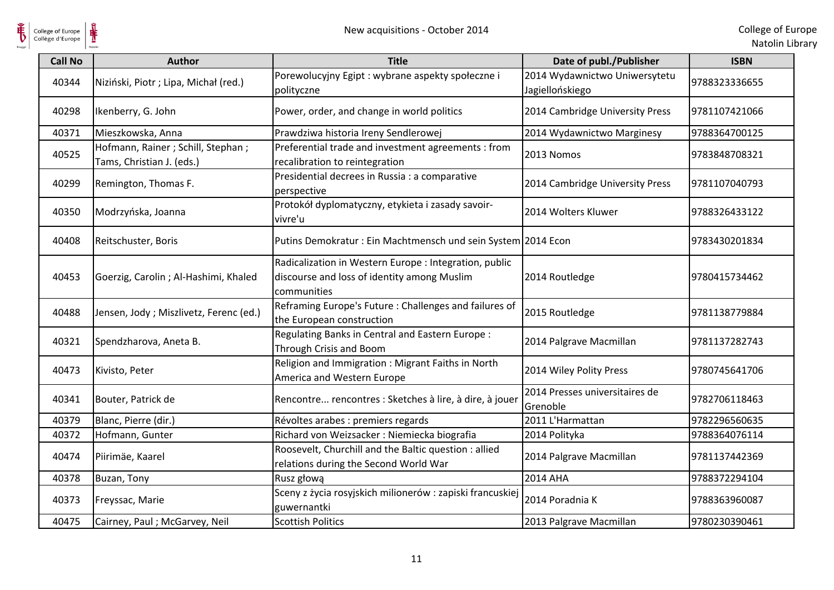

| College of Europe<br>Collège d'Europe | ⋕                                                                | New acquisitions - October 2014                                                                                      |                                                  | College of Eur<br>Natolin Lib |
|---------------------------------------|------------------------------------------------------------------|----------------------------------------------------------------------------------------------------------------------|--------------------------------------------------|-------------------------------|
| <b>Call No</b>                        | <b>Author</b>                                                    | <b>Title</b>                                                                                                         | Date of publ./Publisher                          | <b>ISBN</b>                   |
| 40344                                 | Niziński, Piotr; Lipa, Michał (red.)                             | Porewolucyjny Egipt : wybrane aspekty społeczne i<br>polityczne                                                      | 2014 Wydawnictwo Uniwersytetu<br>Jagiellońskiego | 9788323336655                 |
| 40298                                 | Ikenberry, G. John                                               | Power, order, and change in world politics                                                                           | 2014 Cambridge University Press                  | 9781107421066                 |
| 40371                                 | Mieszkowska, Anna                                                | Prawdziwa historia Ireny Sendlerowej                                                                                 | 2014 Wydawnictwo Marginesy                       | 9788364700125                 |
| 40525                                 | Hofmann, Rainer ; Schill, Stephan ;<br>Tams, Christian J. (eds.) | Preferential trade and investment agreements : from<br>recalibration to reintegration                                | 2013 Nomos                                       | 9783848708321                 |
| 40299                                 | Remington, Thomas F.                                             | Presidential decrees in Russia : a comparative<br>perspective                                                        | 2014 Cambridge University Press                  | 9781107040793                 |
| 40350                                 | Modrzyńska, Joanna                                               | Protokół dyplomatyczny, etykieta i zasady savoir-<br>vivre'u                                                         | 2014 Wolters Kluwer                              | 9788326433122                 |
| 40408                                 | Reitschuster, Boris                                              | Putins Demokratur: Ein Machtmensch und sein System 2014 Econ                                                         |                                                  | 9783430201834                 |
| 40453                                 | Goerzig, Carolin ; Al-Hashimi, Khaled                            | Radicalization in Western Europe : Integration, public<br>discourse and loss of identity among Muslim<br>communities | 2014 Routledge                                   | 9780415734462                 |
| 40488                                 | Jensen, Jody; Miszlivetz, Ferenc (ed.)                           | Reframing Europe's Future : Challenges and failures of<br>the European construction                                  | 2015 Routledge                                   | 9781138779884                 |
| 40321                                 | Spendzharova, Aneta B.                                           | Regulating Banks in Central and Eastern Europe:<br><b>Through Crisis and Boom</b>                                    | 2014 Palgrave Macmillan                          | 9781137282743                 |
| 40473                                 | Kivisto, Peter                                                   | Religion and Immigration : Migrant Faiths in North<br>America and Western Europe                                     | 2014 Wiley Polity Press                          | 9780745641706                 |
| 40341                                 | Bouter, Patrick de                                               | Rencontre rencontres : Sketches à lire, à dire, à jouer                                                              | 2014 Presses universitaires de<br>Grenoble       | 9782706118463                 |
| 40379                                 | Blanc, Pierre (dir.)                                             | Révoltes arabes : premiers regards                                                                                   | 2011 L'Harmattan                                 | 9782296560635                 |
| 40372                                 | Hofmann, Gunter                                                  | Richard von Weizsacker : Niemiecka biografia                                                                         | 2014 Polityka                                    | 9788364076114                 |
| 40474                                 | Piirimäe, Kaarel                                                 | Roosevelt, Churchill and the Baltic question : allied<br>relations during the Second World War                       | 2014 Palgrave Macmillan                          | 9781137442369                 |
| 40378                                 | Buzan, Tony                                                      | Rusz głową                                                                                                           | 2014 AHA                                         | 9788372294104                 |
| 40373                                 | Freyssac, Marie                                                  | Sceny z życia rosyjskich milionerów : zapiski francuskiej<br>guwernantki                                             | 2014 Poradnia K                                  | 9788363960087                 |
| 40475                                 | Cairney, Paul ; McGarvey, Neil                                   | <b>Scottish Politics</b>                                                                                             | 2013 Palgrave Macmillan                          | 9780230390461                 |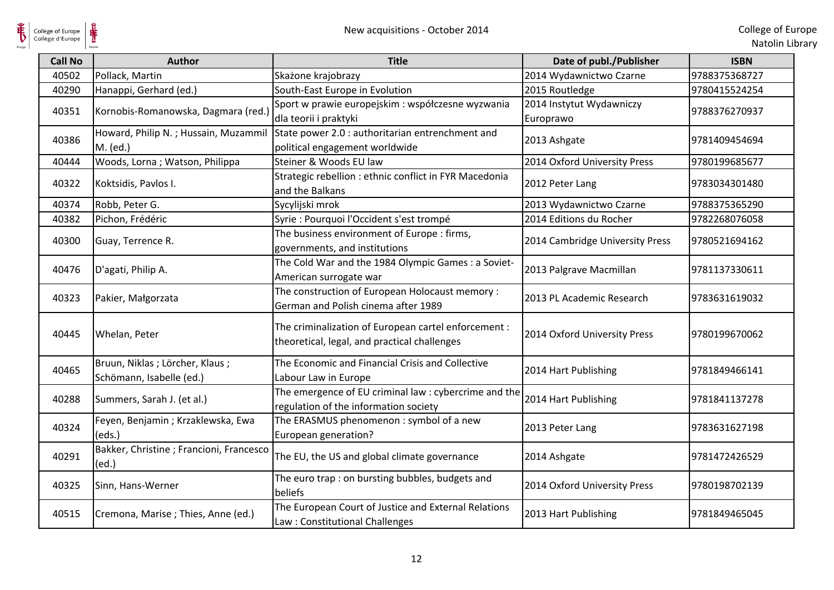| <b>Call No</b> | <b>Author</b>                                               | <b>Title</b>                                                                                         | Date of publ./Publisher               | <b>ISBN</b>   |
|----------------|-------------------------------------------------------------|------------------------------------------------------------------------------------------------------|---------------------------------------|---------------|
| 40502          | Pollack, Martin                                             | Skażone krajobrazy                                                                                   | 2014 Wydawnictwo Czarne               | 9788375368727 |
| 40290          | Hanappi, Gerhard (ed.)                                      | South-East Europe in Evolution                                                                       | 2015 Routledge                        | 9780415524254 |
| 40351          | Kornobis-Romanowska, Dagmara (red.)                         | Sport w prawie europejskim : współczesne wyzwania<br>dla teorii i praktyki                           | 2014 Instytut Wydawniczy<br>Europrawo | 9788376270937 |
| 40386          | Howard, Philip N.; Hussain, Muzammil<br>M. (ed.)            | State power 2.0 : authoritarian entrenchment and<br>political engagement worldwide                   | 2013 Ashgate                          | 9781409454694 |
| 40444          | Woods, Lorna; Watson, Philippa                              | Steiner & Woods EU law                                                                               | 2014 Oxford University Press          | 9780199685677 |
| 40322          | Koktsidis, Pavlos I.                                        | Strategic rebellion : ethnic conflict in FYR Macedonia<br>and the Balkans                            | 2012 Peter Lang                       | 9783034301480 |
| 40374          | Robb, Peter G.                                              | Sycylijski mrok                                                                                      | 2013 Wydawnictwo Czarne               | 9788375365290 |
| 40382          | Pichon, Frédéric                                            | Syrie : Pourquoi l'Occident s'est trompé                                                             | 2014 Editions du Rocher               | 9782268076058 |
| 40300          | Guay, Terrence R.                                           | The business environment of Europe : firms,<br>governments, and institutions                         | 2014 Cambridge University Press       | 9780521694162 |
| 40476          | D'agati, Philip A.                                          | The Cold War and the 1984 Olympic Games : a Soviet-<br>American surrogate war                        | 2013 Palgrave Macmillan               | 9781137330611 |
| 40323          | Pakier, Małgorzata                                          | The construction of European Holocaust memory :<br>German and Polish cinema after 1989               | 2013 PL Academic Research             | 9783631619032 |
| 40445          | Whelan, Peter                                               | The criminalization of European cartel enforcement :<br>theoretical, legal, and practical challenges | 2014 Oxford University Press          | 9780199670062 |
| 40465          | Bruun, Niklas; Lörcher, Klaus;<br>Schömann, Isabelle (ed.)  | The Economic and Financial Crisis and Collective<br>Labour Law in Europe                             | 2014 Hart Publishing                  | 9781849466141 |
| 40288          | Summers, Sarah J. (et al.)                                  | The emergence of EU criminal law : cybercrime and the<br>regulation of the information society       | 2014 Hart Publishing                  | 9781841137278 |
| 40324          | Feyen, Benjamin; Krzaklewska, Ewa<br>(eds.)                 | The ERASMUS phenomenon : symbol of a new<br>European generation?                                     | 2013 Peter Lang                       | 9783631627198 |
| 40291          | Bakker, Christine ; Francioni, Francesco<br>$\text{ (ed.)}$ | The EU, the US and global climate governance                                                         | 2014 Ashgate                          | 9781472426529 |
| 40325          | Sinn, Hans-Werner                                           | The euro trap : on bursting bubbles, budgets and<br>beliefs                                          | 2014 Oxford University Press          | 9780198702139 |
| 40515          | Cremona, Marise ; Thies, Anne (ed.)                         | The European Court of Justice and External Relations<br>Law: Constitutional Challenges               | 2013 Hart Publishing                  | 9781849465045 |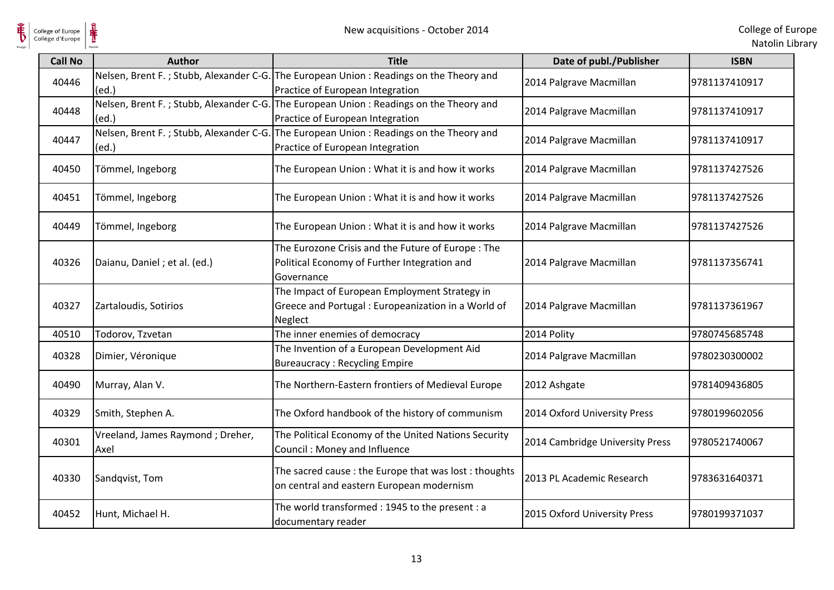

| <b>Call No</b> | <b>Author</b>                            | <b>Title</b>                                                                                                               | Date of publ./Publisher         | <b>ISBN</b>   |
|----------------|------------------------------------------|----------------------------------------------------------------------------------------------------------------------------|---------------------------------|---------------|
| 40446          | (ed.)                                    | Nelsen, Brent F.; Stubb, Alexander C-G. The European Union: Readings on the Theory and<br>Practice of European Integration | 2014 Palgrave Macmillan         | 9781137410917 |
| 40448          | (ed.)                                    | Nelsen, Brent F.; Stubb, Alexander C-G. The European Union: Readings on the Theory and<br>Practice of European Integration | 2014 Palgrave Macmillan         | 9781137410917 |
| 40447          | (ed.)                                    | Nelsen, Brent F.; Stubb, Alexander C-G. The European Union: Readings on the Theory and<br>Practice of European Integration | 2014 Palgrave Macmillan         | 9781137410917 |
| 40450          | Tömmel, Ingeborg                         | The European Union: What it is and how it works                                                                            | 2014 Palgrave Macmillan         | 9781137427526 |
| 40451          | Tömmel, Ingeborg                         | The European Union: What it is and how it works                                                                            | 2014 Palgrave Macmillan         | 9781137427526 |
| 40449          | Tömmel, Ingeborg                         | The European Union: What it is and how it works                                                                            | 2014 Palgrave Macmillan         | 9781137427526 |
| 40326          | Daianu, Daniel; et al. (ed.)             | The Eurozone Crisis and the Future of Europe: The<br>Political Economy of Further Integration and<br>Governance            | 2014 Palgrave Macmillan         | 9781137356741 |
| 40327          | Zartaloudis, Sotirios                    | The Impact of European Employment Strategy in<br>Greece and Portugal: Europeanization in a World of<br>Neglect             | 2014 Palgrave Macmillan         | 9781137361967 |
| 40510          | Todorov, Tzvetan                         | The inner enemies of democracy                                                                                             | 2014 Polity                     | 9780745685748 |
| 40328          | Dimier, Véronique                        | The Invention of a European Development Aid<br><b>Bureaucracy: Recycling Empire</b>                                        | 2014 Palgrave Macmillan         | 9780230300002 |
| 40490          | Murray, Alan V.                          | The Northern-Eastern frontiers of Medieval Europe                                                                          | 2012 Ashgate                    | 9781409436805 |
| 40329          | Smith, Stephen A.                        | The Oxford handbook of the history of communism                                                                            | 2014 Oxford University Press    | 9780199602056 |
| 40301          | Vreeland, James Raymond; Dreher,<br>Axel | The Political Economy of the United Nations Security<br>Council: Money and Influence                                       | 2014 Cambridge University Press | 9780521740067 |
| 40330          | Sandqvist, Tom                           | The sacred cause : the Europe that was lost : thoughts<br>on central and eastern European modernism                        | 2013 PL Academic Research       | 9783631640371 |
| 40452          | Hunt, Michael H.                         | The world transformed: 1945 to the present: a<br>documentary reader                                                        | 2015 Oxford University Press    | 9780199371037 |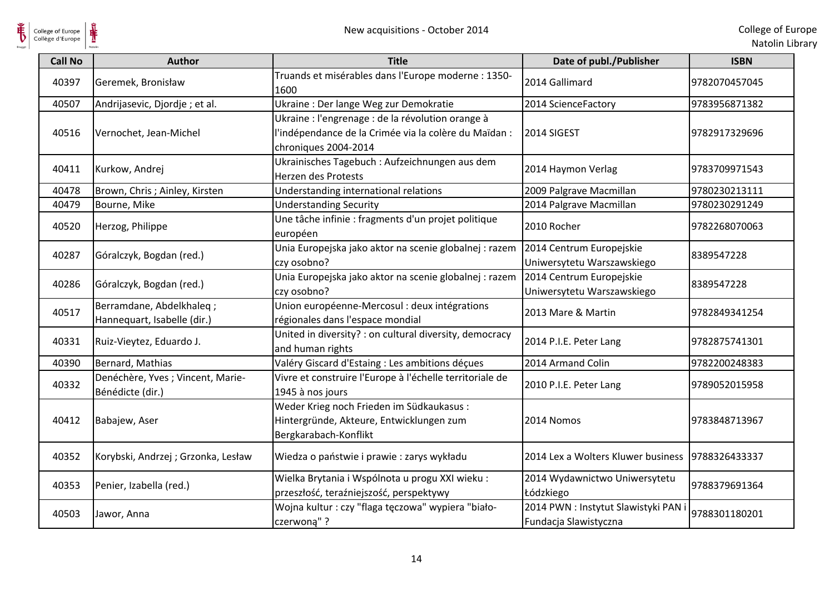

 $\frac{1}{\sqrt{2}}$ 

| <b>Call No</b> | <b>Author</b>                                           | <b>Title</b>                                                                                                                       | Date of publ./Publisher                                       | <b>ISBN</b>   |
|----------------|---------------------------------------------------------|------------------------------------------------------------------------------------------------------------------------------------|---------------------------------------------------------------|---------------|
| 40397          | Geremek, Bronisław                                      | Truands et misérables dans l'Europe moderne : 1350-<br>1600                                                                        | 2014 Gallimard                                                | 9782070457045 |
| 40507          | Andrijasevic, Djordje; et al.                           | Ukraine : Der lange Weg zur Demokratie                                                                                             | 2014 ScienceFactory                                           | 9783956871382 |
| 40516          | Vernochet, Jean-Michel                                  | Ukraine : l'engrenage : de la révolution orange à<br>l'indépendance de la Crimée via la colère du Maïdan :<br>chroniques 2004-2014 | 2014 SIGEST                                                   | 9782917329696 |
| 40411          | Kurkow, Andrej                                          | Ukrainisches Tagebuch : Aufzeichnungen aus dem<br>Herzen des Protests                                                              | 2014 Haymon Verlag                                            | 9783709971543 |
| 40478          | Brown, Chris ; Ainley, Kirsten                          | Understanding international relations                                                                                              | 2009 Palgrave Macmillan                                       | 9780230213111 |
| 40479          | Bourne, Mike                                            | <b>Understanding Security</b>                                                                                                      | 2014 Palgrave Macmillan                                       | 9780230291249 |
| 40520          | Herzog, Philippe                                        | Une tâche infinie : fragments d'un projet politique<br>européen                                                                    | 2010 Rocher                                                   | 9782268070063 |
| 40287          | Góralczyk, Bogdan (red.)                                | Unia Europejska jako aktor na scenie globalnej : razem<br>czy osobno?                                                              | 2014 Centrum Europejskie<br>Uniwersytetu Warszawskiego        | 8389547228    |
| 40286          | Góralczyk, Bogdan (red.)                                | Unia Europejska jako aktor na scenie globalnej : razem<br>czy osobno?                                                              | 2014 Centrum Europejskie<br>Uniwersytetu Warszawskiego        | 8389547228    |
| 40517          | Berramdane, Abdelkhaleq;<br>Hannequart, Isabelle (dir.) | Union européenne-Mercosul : deux intégrations<br>régionales dans l'espace mondial                                                  | 2013 Mare & Martin                                            | 9782849341254 |
| 40331          | Ruiz-Vieytez, Eduardo J.                                | United in diversity? : on cultural diversity, democracy<br>and human rights                                                        | 2014 P.I.E. Peter Lang                                        | 9782875741301 |
| 40390          | Bernard, Mathias                                        | Valéry Giscard d'Estaing : Les ambitions déçues                                                                                    | 2014 Armand Colin                                             | 9782200248383 |
| 40332          | Denéchère, Yves ; Vincent, Marie-<br>Bénédicte (dir.)   | Vivre et construire l'Europe à l'échelle territoriale de<br>1945 à nos jours                                                       | 2010 P.I.E. Peter Lang                                        | 9789052015958 |
| 40412          | Babajew, Aser                                           | Weder Krieg noch Frieden im Südkaukasus:<br>Hintergründe, Akteure, Entwicklungen zum<br>Bergkarabach-Konflikt                      | 2014 Nomos                                                    | 9783848713967 |
| 40352          | Korybski, Andrzej ; Grzonka, Lesław                     | Wiedza o państwie i prawie : zarys wykładu                                                                                         | 2014 Lex a Wolters Kluwer business                            | 9788326433337 |
| 40353          | Penier, Izabella (red.)                                 | Wielka Brytania i Wspólnota u progu XXI wieku :<br>przeszłość, teraźniejszość, perspektywy                                         | 2014 Wydawnictwo Uniwersytetu<br>Łódzkiego                    | 9788379691364 |
| 40503          | Jawor, Anna                                             | Wojna kultur : czy "flaga tęczowa" wypiera "biało-<br>czerwoną"?                                                                   | 2014 PWN : Instytut Slawistyki PAN i<br>Fundacja Slawistyczna | 9788301180201 |